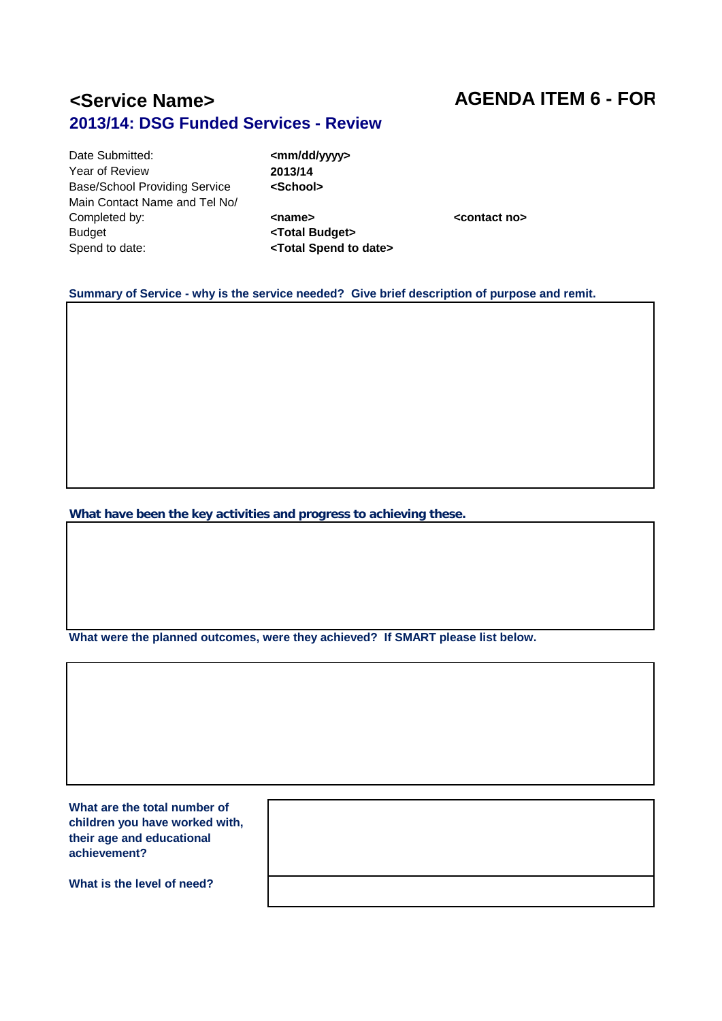## **<Service Name> AGENDA ITEM 6 - FOR 2013/14: DSG Funded Services - Review**

Date Submitted: **All and Submitted: All and Submitted: All and Submitted: All and Submitted: Contrary All and Submitted: Contrary All and Submitted: Contrary All and Submitted: Contrary All and Submitted: C** Year of Review **2013/14**<br>Base/School Providing Service **Case Aschool> Base/School Providing Service** Main Contact Name and Tel No/ Completed by:<br> **Example 2 Example 2 Contact no>**<br> **Example 2 Contact no>**<br> **Example 2 Contact no>**<br> **Example 2 Contact no>**<br> **Example 2 Contact no>** Budget<br>
Spend to date:<br>
Spend to date:<br> **CTotal Spend to** 

### **Summary of Service - why is the service needed? Give brief description of purpose and remit.**

Spend to date: **<Total Spend to date>**

**What have been the key activities and progress to achieving these.** 

**What were the planned outcomes, were they achieved? If SMART please list below.**

**What are the total number of children you have worked with, their age and educational achievement?**

**What is the level of need?**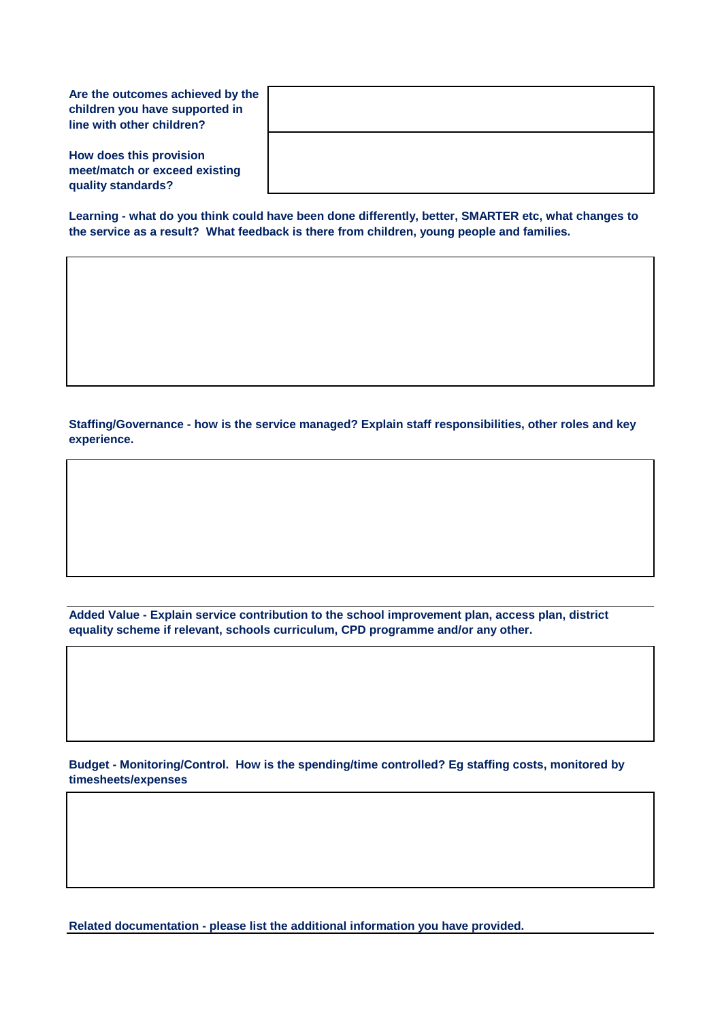**Are the outcomes achieved by the children you have supported in line with other children?**

**How does this provision meet/match or exceed existing quality standards?**

**Learning - what do you think could have been done differently, better, SMARTER etc, what changes to the service as a result? What feedback is there from children, young people and families.**

**Staffing/Governance - how is the service managed? Explain staff responsibilities, other roles and key experience.**

**Added Value - Explain service contribution to the school improvement plan, access plan, district equality scheme if relevant, schools curriculum, CPD programme and/or any other.**

**Budget - Monitoring/Control. How is the spending/time controlled? Eg staffing costs, monitored by timesheets/expenses** 

**Related documentation - please list the additional information you have provided.**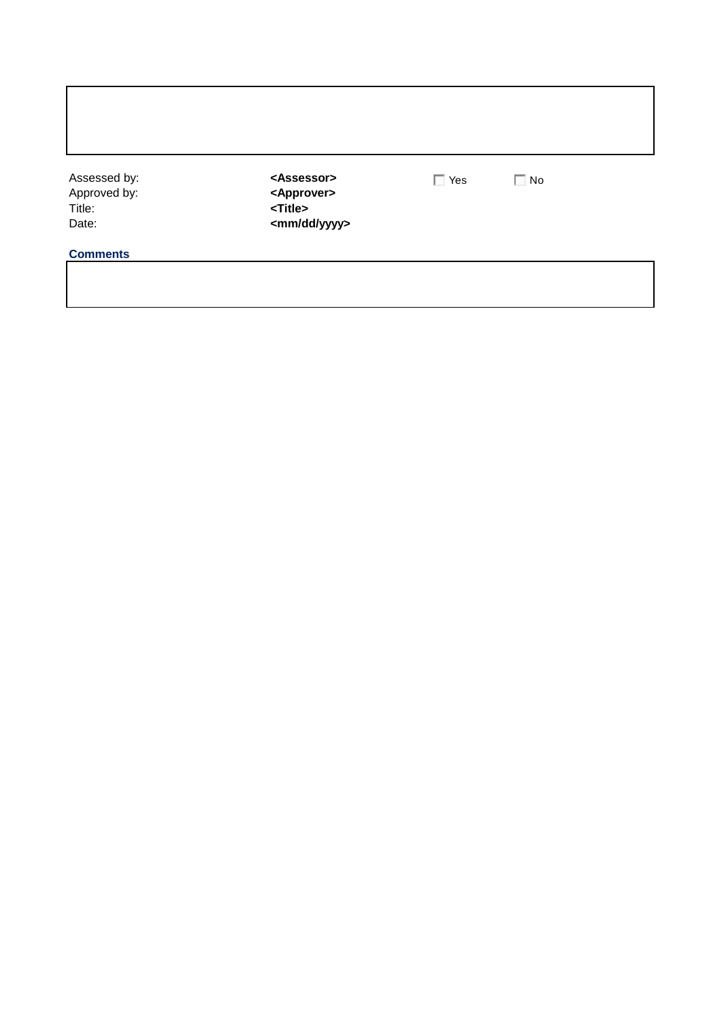| Assessed by:<br>Approved by:<br>Title:<br>Date: | <assessor><br/><approver><br/><title><br/><mm dd="" yyyy=""></mm></title></approver></assessor> | $\Box$ Yes | $\Box$ No |
|-------------------------------------------------|-------------------------------------------------------------------------------------------------|------------|-----------|
| <b>Comments</b>                                 |                                                                                                 |            |           |